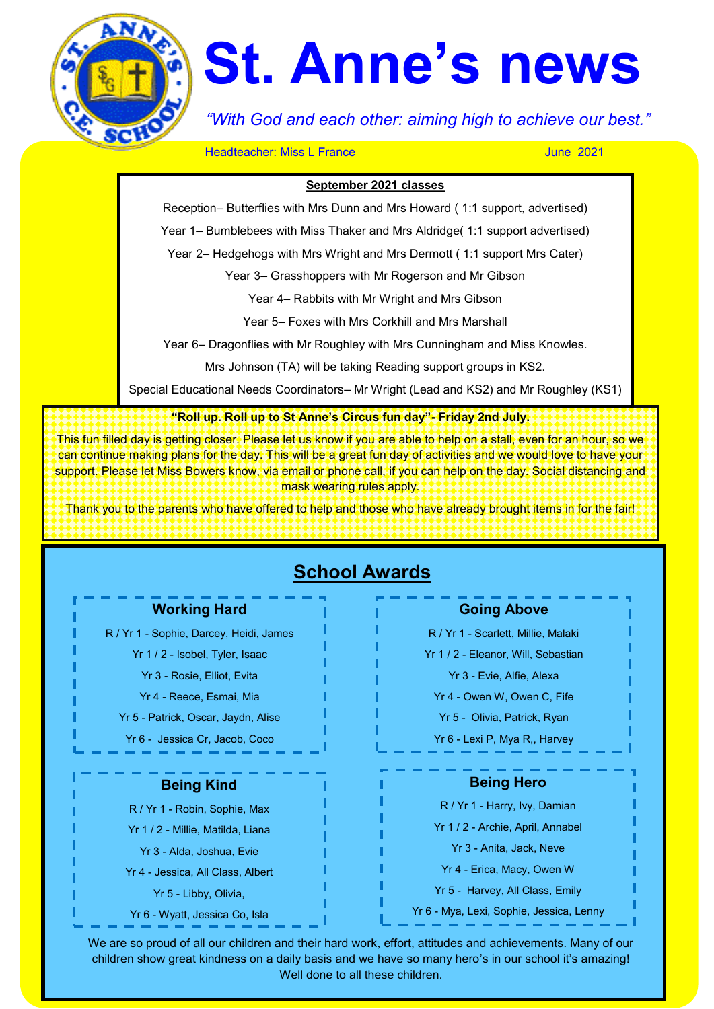

# **St. Anne's news**

*"With God and each other: aiming high to achieve our best."*

**Headteacher: Miss L France** June 2021

#### **September 2021 classes**

Reception– Butterflies with Mrs Dunn and Mrs Howard ( 1:1 support, advertised)

Year 1– Bumblebees with Miss Thaker and Mrs Aldridge( 1:1 support advertised)

Year 2– Hedgehogs with Mrs Wright and Mrs Dermott ( 1:1 support Mrs Cater)

Year 3– Grasshoppers with Mr Rogerson and Mr Gibson

Year 4– Rabbits with Mr Wright and Mrs Gibson

Year 5– Foxes with Mrs Corkhill and Mrs Marshall

Year 6– Dragonflies with Mr Roughley with Mrs Cunningham and Miss Knowles.

Mrs Johnson (TA) will be taking Reading support groups in KS2.

Special Educational Needs Coordinators– Mr Wright (Lead and KS2) and Mr Roughley (KS1)

**"Roll up. Roll up to St Anne's Circus fun day"- Friday 2nd July.** 

This fun filled day is getting closer. Please let us know if you are able to help on a stall, even for an hour, so we can continue making plans for the day. This will be a great fun day of activities and we would love to have your support. Please let Miss Bowers know, via email or phone call, if you can help on the day. Social distancing and mask wearing rules apply.

Thank you to the parents who have offered to help and those who have already brought items in for the fair!

## **School Awards**

#### **Working Hard**

R / Yr 1 - Sophie, Darcey, Heidi, James

- Yr 1 / 2 Isobel, Tyler, Isaac
	- Yr 3 Rosie, Elliot, Evita
- Yr 4 Reece, Esmai, Mia
- Yr 5 Patrick, Oscar, Jaydn, Alise

Yr 6 - Jessica Cr, Jacob, Coco

## **Being Kind**

R / Yr 1 - Robin, Sophie, Max Yr 1 / 2 - Millie, Matilda, Liana

- Yr 3 Alda, Joshua, Evie
- Yr 4 Jessica, All Class, Albert
	- Yr 5 Libby, Olivia,
- Yr 6 Wyatt, Jessica Co, Isla

## **Going Above**

R / Yr 1 - Scarlett, Millie, Malaki

Yr 1 / 2 - Eleanor, Will, Sebastian

Yr 3 - Evie, Alfie, Alexa

Yr 4 - Owen W, Owen C, Fife

Yr 5 - Olivia, Patrick, Ryan

Yr 6 - Lexi P, Mya R,, Harvey

## **Being Hero**

R / Yr 1 - Harry, Ivy, Damian

Yr 1 / 2 - Archie, April, Annabel

Yr 3 - Anita, Jack, Neve

Yr 4 - Erica, Macy, Owen W

Yr 5 - Harvey, All Class, Emily

Yr 6 - Mya, Lexi, Sophie, Jessica, Lenny

We are so proud of all our children and their hard work, effort, attitudes and achievements. Many of our children show great kindness on a daily basis and we have so many hero's in our school it's amazing! Well done to all these children.